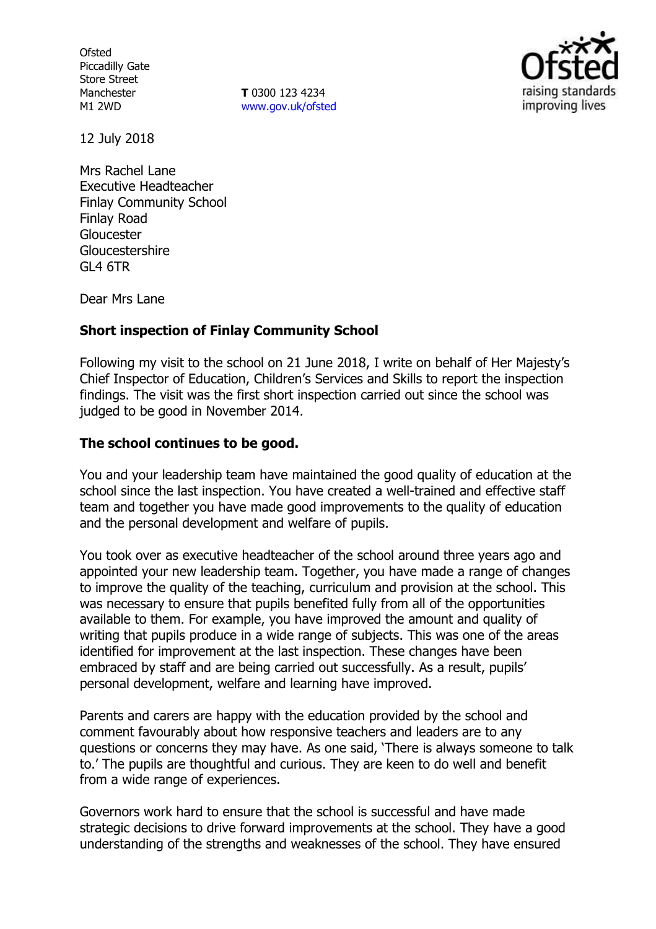**Ofsted** Piccadilly Gate Store Street Manchester M1 2WD

**T** 0300 123 4234 www.gov.uk/ofsted



12 July 2018

Mrs Rachel Lane Executive Headteacher Finlay Community School Finlay Road Gloucester Gloucestershire GL4 6TR

Dear Mrs Lane

### **Short inspection of Finlay Community School**

Following my visit to the school on 21 June 2018, I write on behalf of Her Majesty's Chief Inspector of Education, Children's Services and Skills to report the inspection findings. The visit was the first short inspection carried out since the school was judged to be good in November 2014.

#### **The school continues to be good.**

You and your leadership team have maintained the good quality of education at the school since the last inspection. You have created a well-trained and effective staff team and together you have made good improvements to the quality of education and the personal development and welfare of pupils.

You took over as executive headteacher of the school around three years ago and appointed your new leadership team. Together, you have made a range of changes to improve the quality of the teaching, curriculum and provision at the school. This was necessary to ensure that pupils benefited fully from all of the opportunities available to them. For example, you have improved the amount and quality of writing that pupils produce in a wide range of subjects. This was one of the areas identified for improvement at the last inspection. These changes have been embraced by staff and are being carried out successfully. As a result, pupils' personal development, welfare and learning have improved.

Parents and carers are happy with the education provided by the school and comment favourably about how responsive teachers and leaders are to any questions or concerns they may have. As one said, 'There is always someone to talk to.' The pupils are thoughtful and curious. They are keen to do well and benefit from a wide range of experiences.

Governors work hard to ensure that the school is successful and have made strategic decisions to drive forward improvements at the school. They have a good understanding of the strengths and weaknesses of the school. They have ensured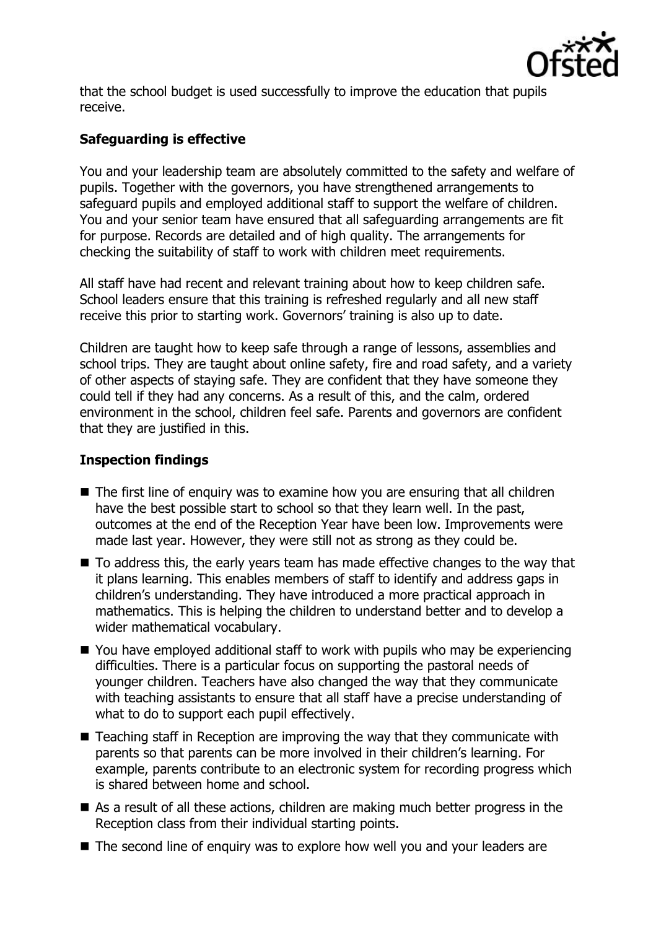

that the school budget is used successfully to improve the education that pupils receive.

# **Safeguarding is effective**

You and your leadership team are absolutely committed to the safety and welfare of pupils. Together with the governors, you have strengthened arrangements to safeguard pupils and employed additional staff to support the welfare of children. You and your senior team have ensured that all safeguarding arrangements are fit for purpose. Records are detailed and of high quality. The arrangements for checking the suitability of staff to work with children meet requirements.

All staff have had recent and relevant training about how to keep children safe. School leaders ensure that this training is refreshed regularly and all new staff receive this prior to starting work. Governors' training is also up to date.

Children are taught how to keep safe through a range of lessons, assemblies and school trips. They are taught about online safety, fire and road safety, and a variety of other aspects of staying safe. They are confident that they have someone they could tell if they had any concerns. As a result of this, and the calm, ordered environment in the school, children feel safe. Parents and governors are confident that they are justified in this.

## **Inspection findings**

- The first line of enquiry was to examine how you are ensuring that all children have the best possible start to school so that they learn well. In the past, outcomes at the end of the Reception Year have been low. Improvements were made last year. However, they were still not as strong as they could be.
- $\blacksquare$  To address this, the early years team has made effective changes to the way that it plans learning. This enables members of staff to identify and address gaps in children's understanding. They have introduced a more practical approach in mathematics. This is helping the children to understand better and to develop a wider mathematical vocabulary.
- You have employed additional staff to work with pupils who may be experiencing difficulties. There is a particular focus on supporting the pastoral needs of younger children. Teachers have also changed the way that they communicate with teaching assistants to ensure that all staff have a precise understanding of what to do to support each pupil effectively.
- Teaching staff in Reception are improving the way that they communicate with parents so that parents can be more involved in their children's learning. For example, parents contribute to an electronic system for recording progress which is shared between home and school.
- As a result of all these actions, children are making much better progress in the Reception class from their individual starting points.
- The second line of enguiry was to explore how well you and your leaders are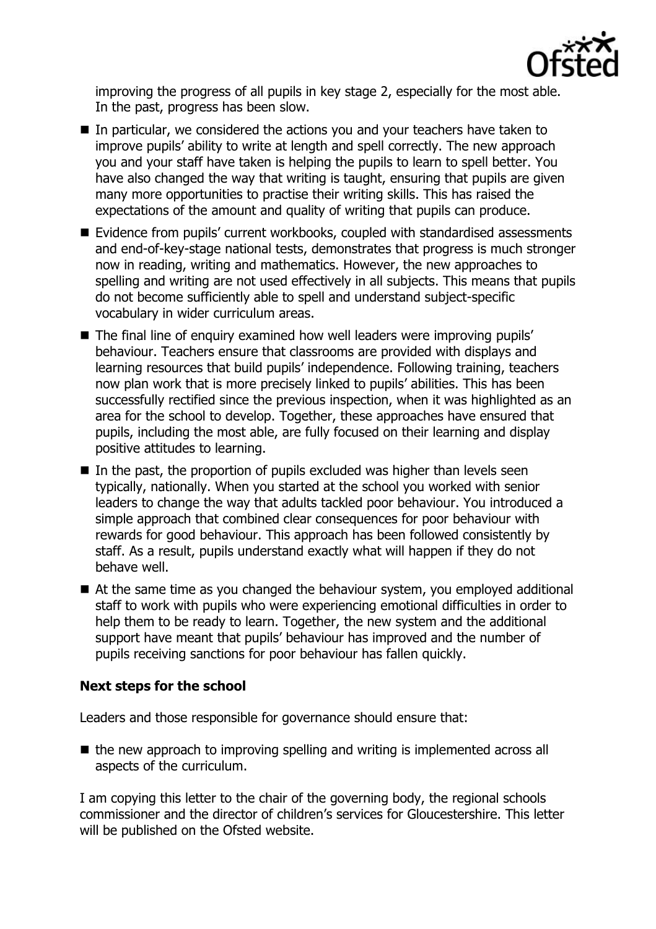

improving the progress of all pupils in key stage 2, especially for the most able. In the past, progress has been slow.

- In particular, we considered the actions you and your teachers have taken to improve pupils' ability to write at length and spell correctly. The new approach you and your staff have taken is helping the pupils to learn to spell better. You have also changed the way that writing is taught, ensuring that pupils are given many more opportunities to practise their writing skills. This has raised the expectations of the amount and quality of writing that pupils can produce.
- Evidence from pupils' current workbooks, coupled with standardised assessments and end-of-key-stage national tests, demonstrates that progress is much stronger now in reading, writing and mathematics. However, the new approaches to spelling and writing are not used effectively in all subjects. This means that pupils do not become sufficiently able to spell and understand subject-specific vocabulary in wider curriculum areas.
- The final line of enquiry examined how well leaders were improving pupils' behaviour. Teachers ensure that classrooms are provided with displays and learning resources that build pupils' independence. Following training, teachers now plan work that is more precisely linked to pupils' abilities. This has been successfully rectified since the previous inspection, when it was highlighted as an area for the school to develop. Together, these approaches have ensured that pupils, including the most able, are fully focused on their learning and display positive attitudes to learning.
- $\blacksquare$  In the past, the proportion of pupils excluded was higher than levels seen typically, nationally. When you started at the school you worked with senior leaders to change the way that adults tackled poor behaviour. You introduced a simple approach that combined clear consequences for poor behaviour with rewards for good behaviour. This approach has been followed consistently by staff. As a result, pupils understand exactly what will happen if they do not behave well.
- At the same time as you changed the behaviour system, you employed additional staff to work with pupils who were experiencing emotional difficulties in order to help them to be ready to learn. Together, the new system and the additional support have meant that pupils' behaviour has improved and the number of pupils receiving sanctions for poor behaviour has fallen quickly.

## **Next steps for the school**

Leaders and those responsible for governance should ensure that:

 $\blacksquare$  the new approach to improving spelling and writing is implemented across all aspects of the curriculum.

I am copying this letter to the chair of the governing body, the regional schools commissioner and the director of children's services for Gloucestershire. This letter will be published on the Ofsted website.